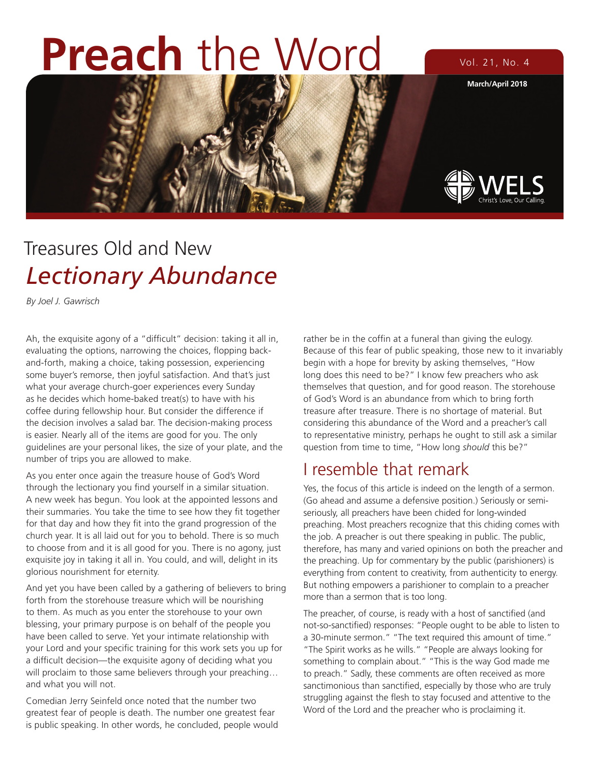# **Preach** the Word Vol. 21, No. 4



## Treasures Old and New *Lectionary Abundance*

*By Joel J. Gawrisch*

Ah, the exquisite agony of a "difficult" decision: taking it all in, evaluating the options, narrowing the choices, flopping backand-forth, making a choice, taking possession, experiencing some buyer's remorse, then joyful satisfaction. And that's just what your average church-goer experiences every Sunday as he decides which home-baked treat(s) to have with his coffee during fellowship hour. But consider the difference if the decision involves a salad bar. The decision-making process is easier. Nearly all of the items are good for you. The only guidelines are your personal likes, the size of your plate, and the number of trips you are allowed to make.

As you enter once again the treasure house of God's Word through the lectionary you find yourself in a similar situation. A new week has begun. You look at the appointed lessons and their summaries. You take the time to see how they fit together for that day and how they fit into the grand progression of the church year. It is all laid out for you to behold. There is so much to choose from and it is all good for you. There is no agony, just exquisite joy in taking it all in. You could, and will, delight in its glorious nourishment for eternity.

And yet you have been called by a gathering of believers to bring forth from the storehouse treasure which will be nourishing to them. As much as you enter the storehouse to your own blessing, your primary purpose is on behalf of the people you have been called to serve. Yet your intimate relationship with your Lord and your specific training for this work sets you up for a difficult decision—the exquisite agony of deciding what you will proclaim to those same believers through your preaching... and what you will not.

Comedian Jerry Seinfeld once noted that the number two greatest fear of people is death. The number one greatest fear is public speaking. In other words, he concluded, people would rather be in the coffin at a funeral than giving the eulogy. Because of this fear of public speaking, those new to it invariably begin with a hope for brevity by asking themselves, "How long does this need to be?" I know few preachers who ask themselves that question, and for good reason. The storehouse of God's Word is an abundance from which to bring forth treasure after treasure. There is no shortage of material. But considering this abundance of the Word and a preacher's call to representative ministry, perhaps he ought to still ask a similar question from time to time, "How long *should* this be?"

#### I resemble that remark

Yes, the focus of this article is indeed on the length of a sermon. (Go ahead and assume a defensive position.) Seriously or semiseriously, all preachers have been chided for long-winded preaching. Most preachers recognize that this chiding comes with the job. A preacher is out there speaking in public. The public, therefore, has many and varied opinions on both the preacher and the preaching. Up for commentary by the public (parishioners) is everything from content to creativity, from authenticity to energy. But nothing empowers a parishioner to complain to a preacher more than a sermon that is too long.

The preacher, of course, is ready with a host of sanctified (and not-so-sanctified) responses: "People ought to be able to listen to a 30-minute sermon." "The text required this amount of time." "The Spirit works as he wills." "People are always looking for something to complain about." "This is the way God made me to preach." Sadly, these comments are often received as more sanctimonious than sanctified, especially by those who are truly struggling against the flesh to stay focused and attentive to the Word of the Lord and the preacher who is proclaiming it.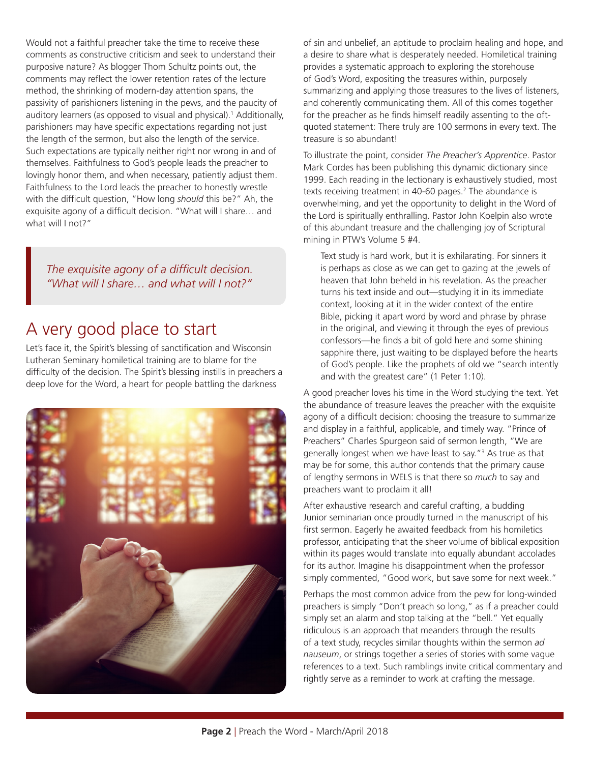Would not a faithful preacher take the time to receive these comments as constructive criticism and seek to understand their purposive nature? As blogger Thom Schultz points out, the comments may reflect the lower retention rates of the lecture method, the shrinking of modern-day attention spans, the passivity of parishioners listening in the pews, and the paucity of auditory learners (as opposed to visual and physical).<sup>1</sup> Additionally, parishioners may have specific expectations regarding not just the length of the sermon, but also the length of the service. Such expectations are typically neither right nor wrong in and of themselves. Faithfulness to God's people leads the preacher to lovingly honor them, and when necessary, patiently adjust them. Faithfulness to the Lord leads the preacher to honestly wrestle with the difficult question, "How long *should* this be?" Ah, the exquisite agony of a difficult decision. "What will I share… and what will I not?"

*The exquisite agony of a difficult decision. "What will I share… and what will I not?"*

#### A very good place to start

Let's face it, the Spirit's blessing of sanctification and Wisconsin Lutheran Seminary homiletical training are to blame for the difficulty of the decision. The Spirit's blessing instills in preachers a deep love for the Word, a heart for people battling the darkness



of sin and unbelief, an aptitude to proclaim healing and hope, and a desire to share what is desperately needed. Homiletical training provides a systematic approach to exploring the storehouse of God's Word, expositing the treasures within, purposely summarizing and applying those treasures to the lives of listeners, and coherently communicating them. All of this comes together for the preacher as he finds himself readily assenting to the oftquoted statement: There truly are 100 sermons in every text. The treasure is so abundant!

To illustrate the point, consider *The Preacher's Apprentice*. Pastor Mark Cordes has been publishing this dynamic dictionary since 1999. Each reading in the lectionary is exhaustively studied, most texts receiving treatment in 40-60 pages.<sup>2</sup> The abundance is overwhelming, and yet the opportunity to delight in the Word of the Lord is spiritually enthralling. Pastor John Koelpin also wrote of this abundant treasure and the challenging joy of Scriptural mining in PTW's Volume 5 #4.

Text study is hard work, but it is exhilarating. For sinners it is perhaps as close as we can get to gazing at the jewels of heaven that John beheld in his revelation. As the preacher turns his text inside and out—studying it in its immediate context, looking at it in the wider context of the entire Bible, picking it apart word by word and phrase by phrase in the original, and viewing it through the eyes of previous confessors—he finds a bit of gold here and some shining sapphire there, just waiting to be displayed before the hearts of God's people. Like the prophets of old we "search intently and with the greatest care" (1 Peter 1:10).

A good preacher loves his time in the Word studying the text. Yet the abundance of treasure leaves the preacher with the exquisite agony of a difficult decision: choosing the treasure to summarize and display in a faithful, applicable, and timely way. "Prince of Preachers" Charles Spurgeon said of sermon length, "We are generally longest when we have least to say."3 As true as that may be for some, this author contends that the primary cause of lengthy sermons in WELS is that there so *much* to say and preachers want to proclaim it all!

After exhaustive research and careful crafting, a budding Junior seminarian once proudly turned in the manuscript of his first sermon. Eagerly he awaited feedback from his homiletics professor, anticipating that the sheer volume of biblical exposition within its pages would translate into equally abundant accolades for its author. Imagine his disappointment when the professor simply commented, "Good work, but save some for next week."

Perhaps the most common advice from the pew for long-winded preachers is simply "Don't preach so long," as if a preacher could simply set an alarm and stop talking at the "bell." Yet equally ridiculous is an approach that meanders through the results of a text study, recycles similar thoughts within the sermon *ad nauseum*, or strings together a series of stories with some vague references to a text. Such ramblings invite critical commentary and rightly serve as a reminder to work at crafting the message.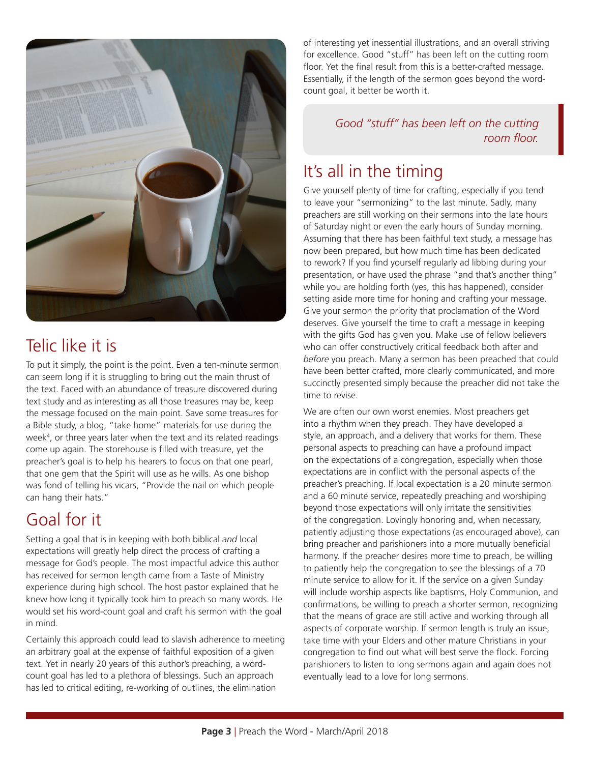

### Telic like it is

To put it simply, the point is the point. Even a ten-minute sermon can seem long if it is struggling to bring out the main thrust of the text. Faced with an abundance of treasure discovered during text study and as interesting as all those treasures may be, keep the message focused on the main point. Save some treasures for a Bible study, a blog, "take home" materials for use during the week4 , or three years later when the text and its related readings come up again. The storehouse is filled with treasure, yet the preacher's goal is to help his hearers to focus on that one pearl, that one gem that the Spirit will use as he wills. As one bishop was fond of telling his vicars, "Provide the nail on which people can hang their hats."

### Goal for it

Setting a goal that is in keeping with both biblical *and* local expectations will greatly help direct the process of crafting a message for God's people. The most impactful advice this author has received for sermon length came from a Taste of Ministry experience during high school. The host pastor explained that he knew how long it typically took him to preach so many words. He would set his word-count goal and craft his sermon with the goal in mind.

Certainly this approach could lead to slavish adherence to meeting an arbitrary goal at the expense of faithful exposition of a given text. Yet in nearly 20 years of this author's preaching, a wordcount goal has led to a plethora of blessings. Such an approach has led to critical editing, re-working of outlines, the elimination

of interesting yet inessential illustrations, and an overall striving for excellence. Good "stuff" has been left on the cutting room floor. Yet the final result from this is a better-crafted message. Essentially, if the length of the sermon goes beyond the wordcount goal, it better be worth it.

> *Good "stuff" has been left on the cutting room floor.*

#### It's all in the timing

Give yourself plenty of time for crafting, especially if you tend to leave your "sermonizing" to the last minute. Sadly, many preachers are still working on their sermons into the late hours of Saturday night or even the early hours of Sunday morning. Assuming that there has been faithful text study, a message has now been prepared, but how much time has been dedicated to rework? If you find yourself regularly ad libbing during your presentation, or have used the phrase "and that's another thing" while you are holding forth (yes, this has happened), consider setting aside more time for honing and crafting your message. Give your sermon the priority that proclamation of the Word deserves. Give yourself the time to craft a message in keeping with the gifts God has given you. Make use of fellow believers who can offer constructively critical feedback both after and *before* you preach. Many a sermon has been preached that could have been better crafted, more clearly communicated, and more succinctly presented simply because the preacher did not take the time to revise.

We are often our own worst enemies. Most preachers get into a rhythm when they preach. They have developed a style, an approach, and a delivery that works for them. These personal aspects to preaching can have a profound impact on the expectations of a congregation, especially when those expectations are in conflict with the personal aspects of the preacher's preaching. If local expectation is a 20 minute sermon and a 60 minute service, repeatedly preaching and worshiping beyond those expectations will only irritate the sensitivities of the congregation. Lovingly honoring and, when necessary, patiently adjusting those expectations (as encouraged above), can bring preacher and parishioners into a more mutually beneficial harmony. If the preacher desires more time to preach, be willing to patiently help the congregation to see the blessings of a 70 minute service to allow for it. If the service on a given Sunday will include worship aspects like baptisms, Holy Communion, and confirmations, be willing to preach a shorter sermon, recognizing that the means of grace are still active and working through all aspects of corporate worship. If sermon length is truly an issue, take time with your Elders and other mature Christians in your congregation to find out what will best serve the flock. Forcing parishioners to listen to long sermons again and again does not eventually lead to a love for long sermons.